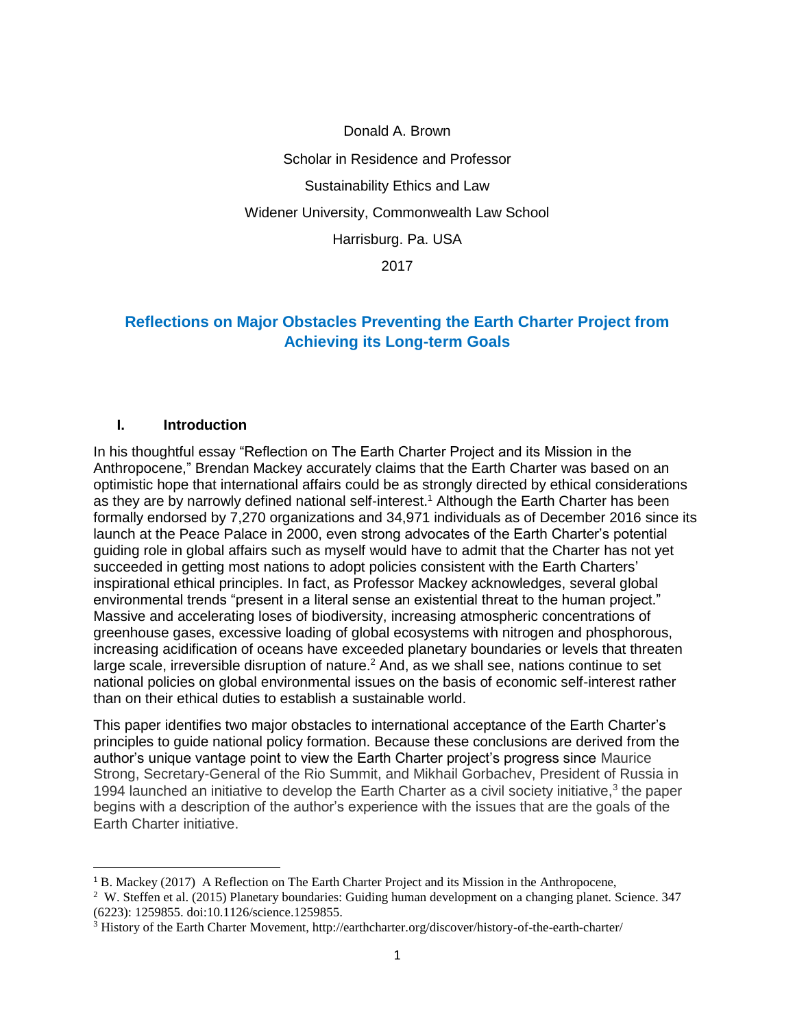Donald A. Brown Scholar in Residence and Professor Sustainability Ethics and Law Widener University, Commonwealth Law School Harrisburg. Pa. USA 2017

# **Reflections on Major Obstacles Preventing the Earth Charter Project from Achieving its Long-term Goals**

#### **I. Introduction**

 $\overline{a}$ 

In his thoughtful essay "Reflection on The Earth Charter Project and its Mission in the Anthropocene," Brendan Mackey accurately claims that the Earth Charter was based on an optimistic hope that international affairs could be as strongly directed by ethical considerations as they are by narrowly defined national self-interest. <sup>1</sup> Although the Earth Charter has been formally endorsed by 7,270 organizations and 34,971 individuals as of December 2016 since its launch at the Peace Palace in 2000, even strong advocates of the Earth Charter's potential guiding role in global affairs such as myself would have to admit that the Charter has not yet succeeded in getting most nations to adopt policies consistent with the Earth Charters' inspirational ethical principles. In fact, as Professor Mackey acknowledges, several global environmental trends "present in a literal sense an existential threat to the human project." Massive and accelerating loses of biodiversity, increasing atmospheric concentrations of greenhouse gases, excessive loading of global ecosystems with nitrogen and phosphorous, increasing acidification of oceans have exceeded planetary boundaries or levels that threaten large scale, irreversible disruption of nature.<sup>2</sup> And, as we shall see, nations continue to set national policies on global environmental issues on the basis of economic self-interest rather than on their ethical duties to establish a sustainable world.

This paper identifies two major obstacles to international acceptance of the Earth Charter's principles to guide national policy formation. Because these conclusions are derived from the author's unique vantage point to view the Earth Charter project's progress since Maurice Strong, Secretary-General of the Rio Summit, and Mikhail Gorbachev, President of Russia in 1994 launched an initiative to develop the Earth Charter as a civil society initiative, $3$  the paper begins with a description of the author's experience with the issues that are the goals of the Earth Charter initiative.

<sup>1</sup> B. Mackey (2017) A Reflection on The Earth Charter Project and its Mission in the Anthropocene,

<sup>&</sup>lt;sup>2</sup> W. Steffen et al. (2015) Planetary boundaries: Guiding human development on a changing planet. Science. 347 (6223): 1259855. doi:10.1126/science.1259855.

<sup>3</sup> History of the Earth Charter Movement, http://earthcharter.org/discover/history-of-the-earth-charter/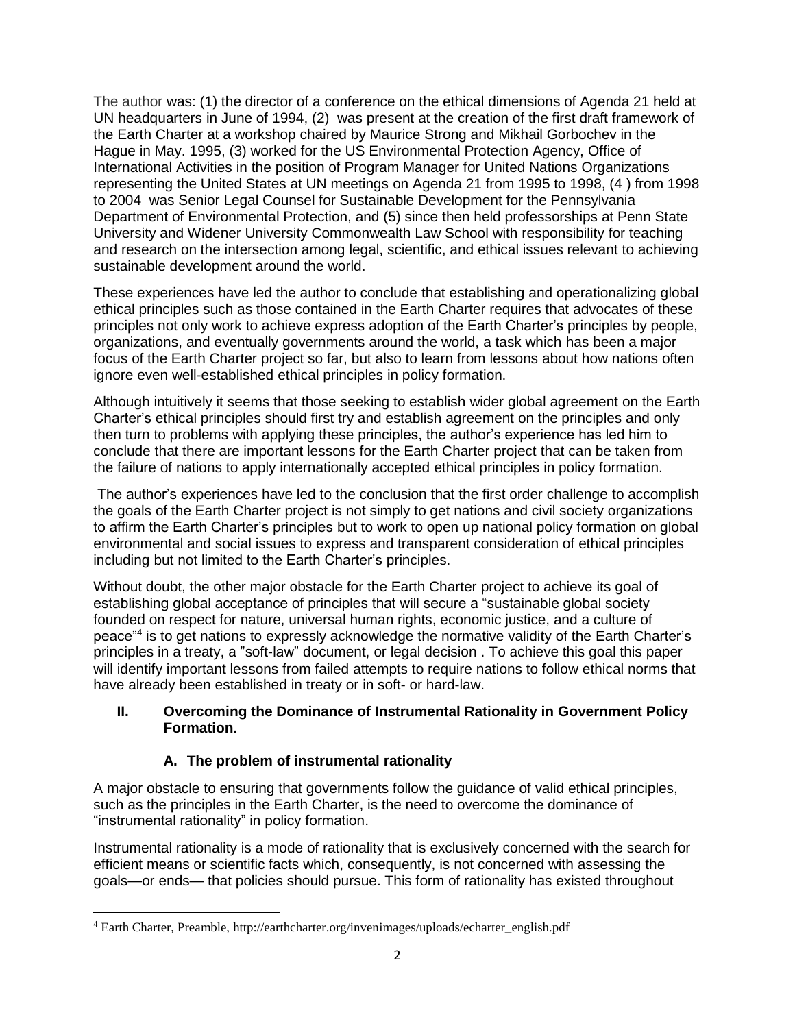The author was: (1) the director of a conference on the ethical dimensions of Agenda 21 held at UN headquarters in June of 1994, (2) was present at the creation of the first draft framework of the Earth Charter at a workshop chaired by Maurice Strong and Mikhail Gorbochev in the Hague in May. 1995, (3) worked for the US Environmental Protection Agency, Office of International Activities in the position of Program Manager for United Nations Organizations representing the United States at UN meetings on Agenda 21 from 1995 to 1998, (4 ) from 1998 to 2004 was Senior Legal Counsel for Sustainable Development for the Pennsylvania Department of Environmental Protection, and (5) since then held professorships at Penn State University and Widener University Commonwealth Law School with responsibility for teaching and research on the intersection among legal, scientific, and ethical issues relevant to achieving sustainable development around the world.

These experiences have led the author to conclude that establishing and operationalizing global ethical principles such as those contained in the Earth Charter requires that advocates of these principles not only work to achieve express adoption of the Earth Charter's principles by people, organizations, and eventually governments around the world, a task which has been a major focus of the Earth Charter project so far, but also to learn from lessons about how nations often ignore even well-established ethical principles in policy formation.

Although intuitively it seems that those seeking to establish wider global agreement on the Earth Charter's ethical principles should first try and establish agreement on the principles and only then turn to problems with applying these principles, the author's experience has led him to conclude that there are important lessons for the Earth Charter project that can be taken from the failure of nations to apply internationally accepted ethical principles in policy formation.

The author's experiences have led to the conclusion that the first order challenge to accomplish the goals of the Earth Charter project is not simply to get nations and civil society organizations to affirm the Earth Charter's principles but to work to open up national policy formation on global environmental and social issues to express and transparent consideration of ethical principles including but not limited to the Earth Charter's principles.

Without doubt, the other major obstacle for the Earth Charter project to achieve its goal of establishing global acceptance of principles that will secure a "sustainable global society founded on respect for nature, universal human rights, economic justice, and a culture of peace"<sup>4</sup> is to get nations to expressly acknowledge the normative validity of the Earth Charter's principles in a treaty, a "soft-law" document, or legal decision . To achieve this goal this paper will identify important lessons from failed attempts to require nations to follow ethical norms that have already been established in treaty or in soft- or hard-law.

### **II. Overcoming the Dominance of Instrumental Rationality in Government Policy Formation.**

# **A. The problem of instrumental rationality**

A major obstacle to ensuring that governments follow the guidance of valid ethical principles, such as the principles in the Earth Charter, is the need to overcome the dominance of "instrumental rationality" in policy formation.

Instrumental rationality is a mode of rationality that is exclusively concerned with the search for efficient means or scientific facts which, consequently, is not concerned with assessing the goals—or ends— that policies should pursue. This form of rationality has existed throughout

 $\overline{\phantom{a}}$ <sup>4</sup> Earth Charter, Preamble, http://earthcharter.org/invenimages/uploads/echarter\_english.pdf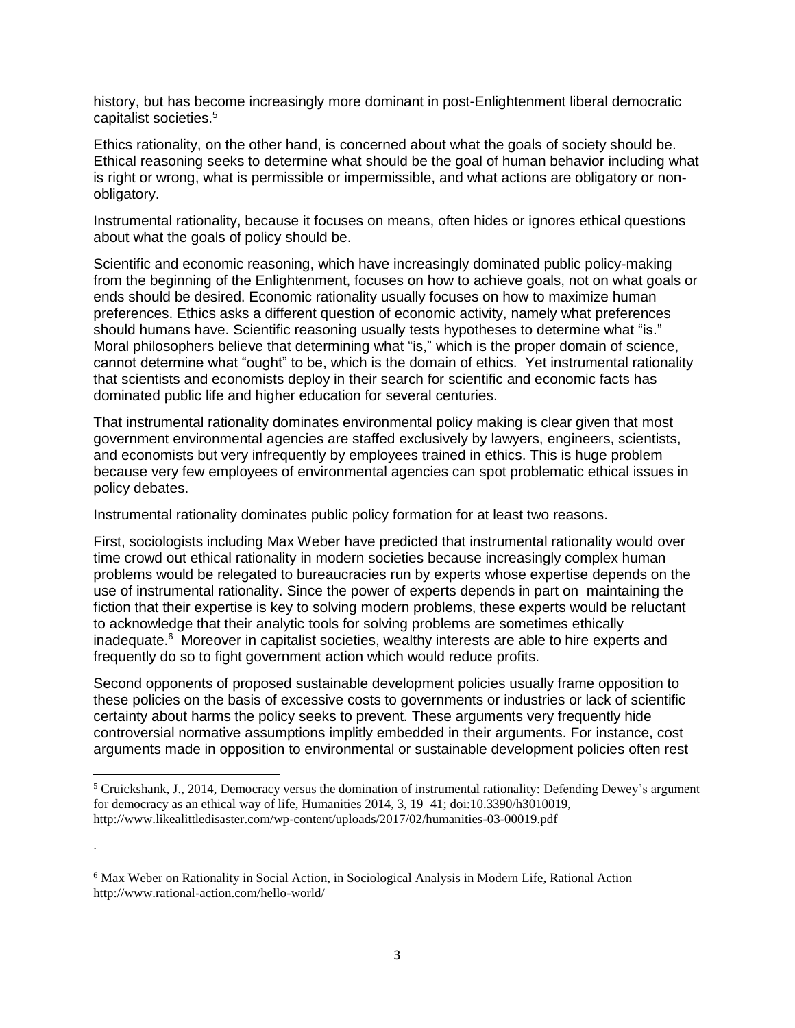history, but has become increasingly more dominant in post-Enlightenment liberal democratic capitalist societies. 5

Ethics rationality, on the other hand, is concerned about what the goals of society should be. Ethical reasoning seeks to determine what should be the goal of human behavior including what is right or wrong, what is permissible or impermissible, and what actions are obligatory or nonobligatory.

Instrumental rationality, because it focuses on means, often hides or ignores ethical questions about what the goals of policy should be.

Scientific and economic reasoning, which have increasingly dominated public policy-making from the beginning of the Enlightenment, focuses on how to achieve goals, not on what goals or ends should be desired. Economic rationality usually focuses on how to maximize human preferences. Ethics asks a different question of economic activity, namely what preferences should humans have. Scientific reasoning usually tests hypotheses to determine what "is." Moral philosophers believe that determining what "is," which is the proper domain of science, cannot determine what "ought" to be, which is the domain of ethics. Yet instrumental rationality that scientists and economists deploy in their search for scientific and economic facts has dominated public life and higher education for several centuries.

That instrumental rationality dominates environmental policy making is clear given that most government environmental agencies are staffed exclusively by lawyers, engineers, scientists, and economists but very infrequently by employees trained in ethics. This is huge problem because very few employees of environmental agencies can spot problematic ethical issues in policy debates.

Instrumental rationality dominates public policy formation for at least two reasons.

First, sociologists including Max Weber have predicted that instrumental rationality would over time crowd out ethical rationality in modern societies because increasingly complex human problems would be relegated to bureaucracies run by experts whose expertise depends on the use of instrumental rationality. Since the power of experts depends in part on maintaining the fiction that their expertise is key to solving modern problems, these experts would be reluctant to acknowledge that their analytic tools for solving problems are sometimes ethically inadequate.<sup>6</sup> Moreover in capitalist societies, wealthy interests are able to hire experts and frequently do so to fight government action which would reduce profits.

Second opponents of proposed sustainable development policies usually frame opposition to these policies on the basis of excessive costs to governments or industries or lack of scientific certainty about harms the policy seeks to prevent. These arguments very frequently hide controversial normative assumptions implitly embedded in their arguments. For instance, cost arguments made in opposition to environmental or sustainable development policies often rest

 $\overline{\phantom{a}}$ 

.

<sup>5</sup> Cruickshank, J., 2014, Democracy versus the domination of instrumental rationality: Defending Dewey's argument for democracy as an ethical way of life, Humanities 2014, 3, 19–41; doi:10.3390/h3010019, http://www.likealittledisaster.com/wp-content/uploads/2017/02/humanities-03-00019.pdf

<sup>6</sup> Max Weber on Rationality in Social Action, in Sociological Analysis in Modern Life, Rational Action http://www.rational-action.com/hello-world/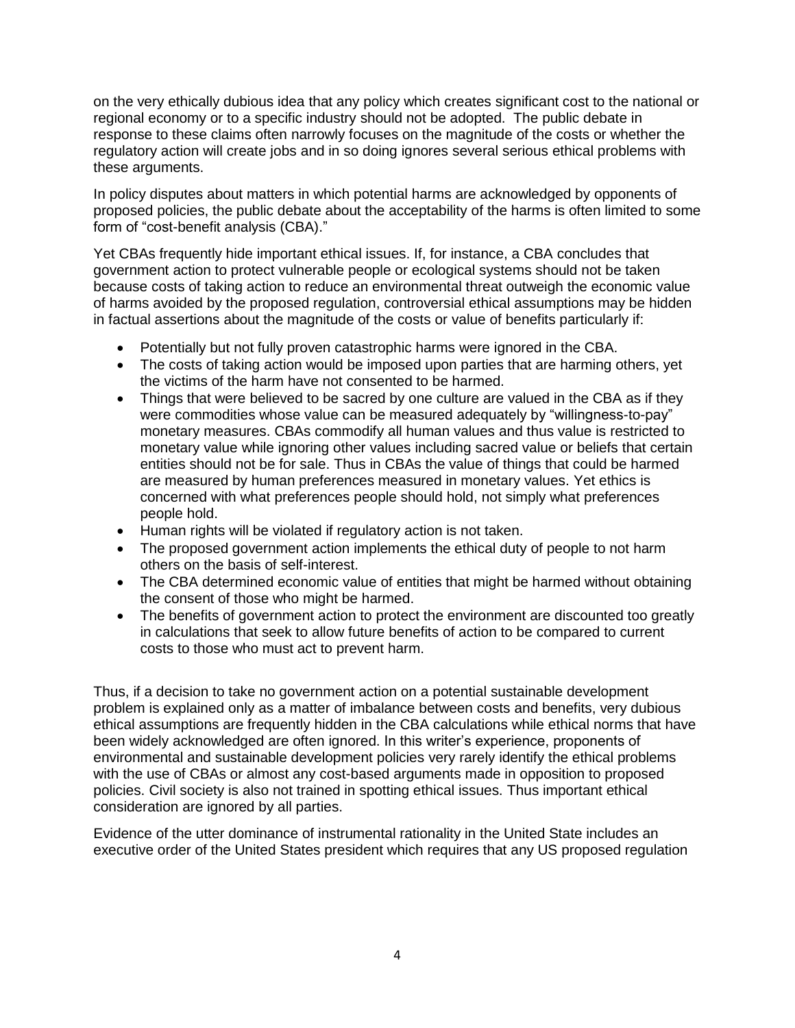on the very ethically dubious idea that any policy which creates significant cost to the national or regional economy or to a specific industry should not be adopted. The public debate in response to these claims often narrowly focuses on the magnitude of the costs or whether the regulatory action will create jobs and in so doing ignores several serious ethical problems with these arguments.

In policy disputes about matters in which potential harms are acknowledged by opponents of proposed policies, the public debate about the acceptability of the harms is often limited to some form of "cost-benefit analysis (CBA)."

Yet CBAs frequently hide important ethical issues. If, for instance, a CBA concludes that government action to protect vulnerable people or ecological systems should not be taken because costs of taking action to reduce an environmental threat outweigh the economic value of harms avoided by the proposed regulation, controversial ethical assumptions may be hidden in factual assertions about the magnitude of the costs or value of benefits particularly if:

- Potentially but not fully proven catastrophic harms were ignored in the CBA.
- The costs of taking action would be imposed upon parties that are harming others, yet the victims of the harm have not consented to be harmed.
- Things that were believed to be sacred by one culture are valued in the CBA as if they were commodities whose value can be measured adequately by "willingness-to-pay" monetary measures. CBAs commodify all human values and thus value is restricted to monetary value while ignoring other values including sacred value or beliefs that certain entities should not be for sale. Thus in CBAs the value of things that could be harmed are measured by human preferences measured in monetary values. Yet ethics is concerned with what preferences people should hold, not simply what preferences people hold.
- Human rights will be violated if regulatory action is not taken.
- The proposed government action implements the ethical duty of people to not harm others on the basis of self-interest.
- The CBA determined economic value of entities that might be harmed without obtaining the consent of those who might be harmed.
- The benefits of government action to protect the environment are discounted too greatly in calculations that seek to allow future benefits of action to be compared to current costs to those who must act to prevent harm.

Thus, if a decision to take no government action on a potential sustainable development problem is explained only as a matter of imbalance between costs and benefits, very dubious ethical assumptions are frequently hidden in the CBA calculations while ethical norms that have been widely acknowledged are often ignored. In this writer's experience, proponents of environmental and sustainable development policies very rarely identify the ethical problems with the use of CBAs or almost any cost-based arguments made in opposition to proposed policies. Civil society is also not trained in spotting ethical issues. Thus important ethical consideration are ignored by all parties.

Evidence of the utter dominance of instrumental rationality in the United State includes an executive order of the United States president which requires that any US proposed regulation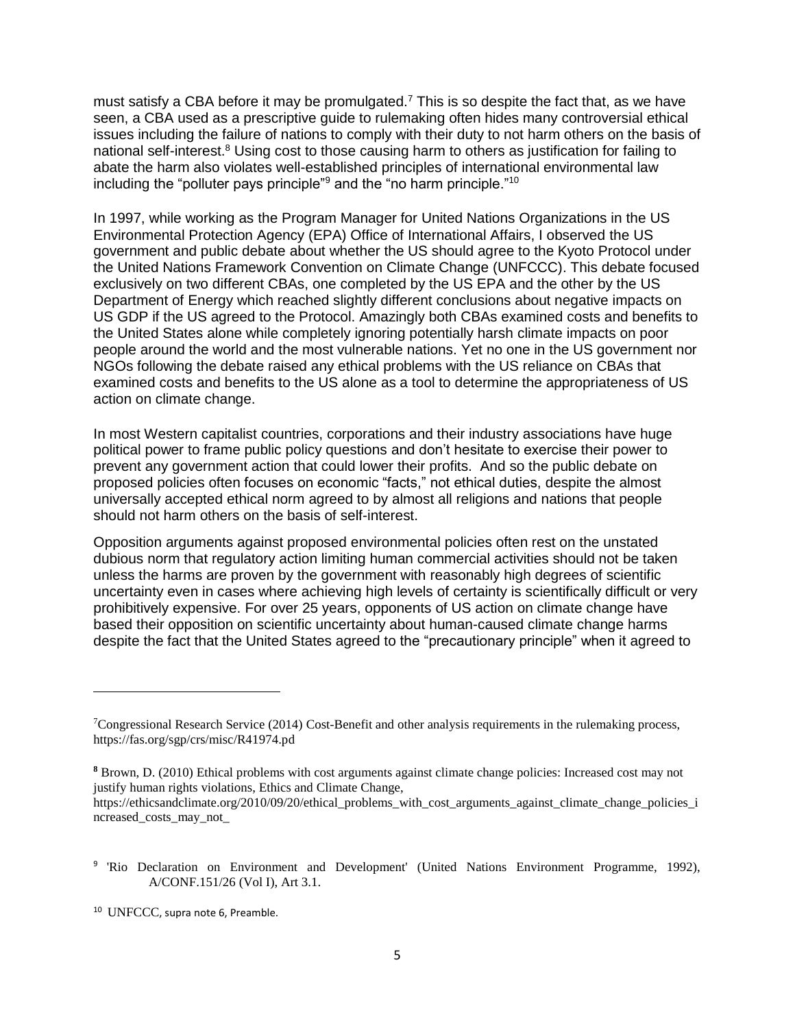must satisfy a CBA before it may be promulgated.<sup>7</sup> This is so despite the fact that, as we have seen, a CBA used as a prescriptive guide to rulemaking often hides many controversial ethical issues including the failure of nations to comply with their duty to not harm others on the basis of national self-interest.<sup>8</sup> Using cost to those causing harm to others as justification for failing to abate the harm also violates well-established principles of international environmental law including the "polluter pays principle"<sup>9</sup> and the "no harm principle."<sup>10</sup>

In 1997, while working as the Program Manager for United Nations Organizations in the US Environmental Protection Agency (EPA) Office of International Affairs, I observed the US government and public debate about whether the US should agree to the Kyoto Protocol under the United Nations Framework Convention on Climate Change (UNFCCC). This debate focused exclusively on two different CBAs, one completed by the US EPA and the other by the US Department of Energy which reached slightly different conclusions about negative impacts on US GDP if the US agreed to the Protocol. Amazingly both CBAs examined costs and benefits to the United States alone while completely ignoring potentially harsh climate impacts on poor people around the world and the most vulnerable nations. Yet no one in the US government nor NGOs following the debate raised any ethical problems with the US reliance on CBAs that examined costs and benefits to the US alone as a tool to determine the appropriateness of US action on climate change.

In most Western capitalist countries, corporations and their industry associations have huge political power to frame public policy questions and don't hesitate to exercise their power to prevent any government action that could lower their profits. And so the public debate on proposed policies often focuses on economic "facts," not ethical duties, despite the almost universally accepted ethical norm agreed to by almost all religions and nations that people should not harm others on the basis of self-interest.

Opposition arguments against proposed environmental policies often rest on the unstated dubious norm that regulatory action limiting human commercial activities should not be taken unless the harms are proven by the government with reasonably high degrees of scientific uncertainty even in cases where achieving high levels of certainty is scientifically difficult or very prohibitively expensive. For over 25 years, opponents of US action on climate change have based their opposition on scientific uncertainty about human-caused climate change harms despite the fact that the United States agreed to the "precautionary principle" when it agreed to

<sup>10</sup> UNFCCC, supra note 6, Preamble.

l

<sup>7</sup>Congressional Research Service (2014) Cost-Benefit and other analysis requirements in the rulemaking process, https://fas.org/sgp/crs/misc/R41974.pd

**<sup>8</sup>** Brown, D. (2010) Ethical problems with cost arguments against climate change policies: Increased cost may not justify human rights violations, Ethics and Climate Change,

https://ethicsandclimate.org/2010/09/20/ethical\_problems\_with\_cost\_arguments\_against\_climate\_change\_policies\_i ncreased\_costs\_may\_not\_

<sup>&</sup>lt;sup>9</sup> 'Rio Declaration on Environment and Development' (United Nations Environment Programme, 1992), A/CONF.151/26 (Vol I), Art 3.1.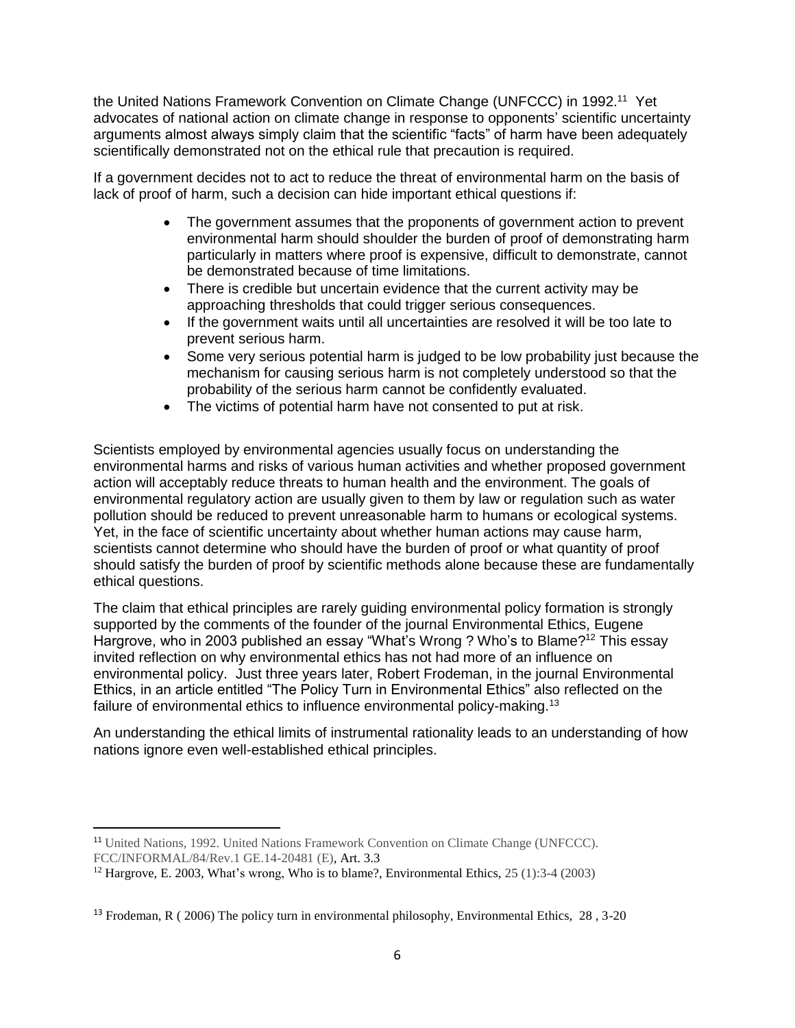the United Nations Framework Convention on Climate Change (UNFCCC) in 1992.<sup>11</sup> Yet advocates of national action on climate change in response to opponents' scientific uncertainty arguments almost always simply claim that the scientific "facts" of harm have been adequately scientifically demonstrated not on the ethical rule that precaution is required.

If a government decides not to act to reduce the threat of environmental harm on the basis of lack of proof of harm, such a decision can hide important ethical questions if:

- The government assumes that the proponents of government action to prevent environmental harm should shoulder the burden of proof of demonstrating harm particularly in matters where proof is expensive, difficult to demonstrate, cannot be demonstrated because of time limitations.
- There is credible but uncertain evidence that the current activity may be approaching thresholds that could trigger serious consequences.
- If the government waits until all uncertainties are resolved it will be too late to prevent serious harm.
- Some very serious potential harm is judged to be low probability just because the mechanism for causing serious harm is not completely understood so that the probability of the serious harm cannot be confidently evaluated.
- The victims of potential harm have not consented to put at risk.

Scientists employed by environmental agencies usually focus on understanding the environmental harms and risks of various human activities and whether proposed government action will acceptably reduce threats to human health and the environment. The goals of environmental regulatory action are usually given to them by law or regulation such as water pollution should be reduced to prevent unreasonable harm to humans or ecological systems. Yet, in the face of scientific uncertainty about whether human actions may cause harm, scientists cannot determine who should have the burden of proof or what quantity of proof should satisfy the burden of proof by scientific methods alone because these are fundamentally ethical questions.

The claim that ethical principles are rarely guiding environmental policy formation is strongly supported by the comments of the founder of the journal Environmental Ethics, Eugene Hargrove, who in 2003 published an essay "What's Wrong ? Who's to Blame?<sup>12</sup> This essay invited reflection on why environmental ethics has not had more of an influence on environmental policy. Just three years later, Robert Frodeman, in the journal Environmental Ethics, in an article entitled "The Policy Turn in Environmental Ethics" also reflected on the failure of environmental ethics to influence environmental policy-making.<sup>13</sup>

An understanding the ethical limits of instrumental rationality leads to an understanding of how nations ignore even well-established ethical principles.

 $\overline{\phantom{a}}$ 

<sup>11</sup> United Nations, 1992. United Nations Framework Convention on Climate Change (UNFCCC). FCC/INFORMAL/84/Rev.1 GE.14-20481 (E), Art. 3.3

<sup>&</sup>lt;sup>12</sup> Hargrove, E. 2003, What's wrong, Who is to blame?, Environmental Ethics,  $25 (1)$ :  $3-4 (2003)$ 

<sup>&</sup>lt;sup>13</sup> Frodeman, R ( 2006) The policy turn in environmental philosophy, Environmental Ethics,  $28, 3-20$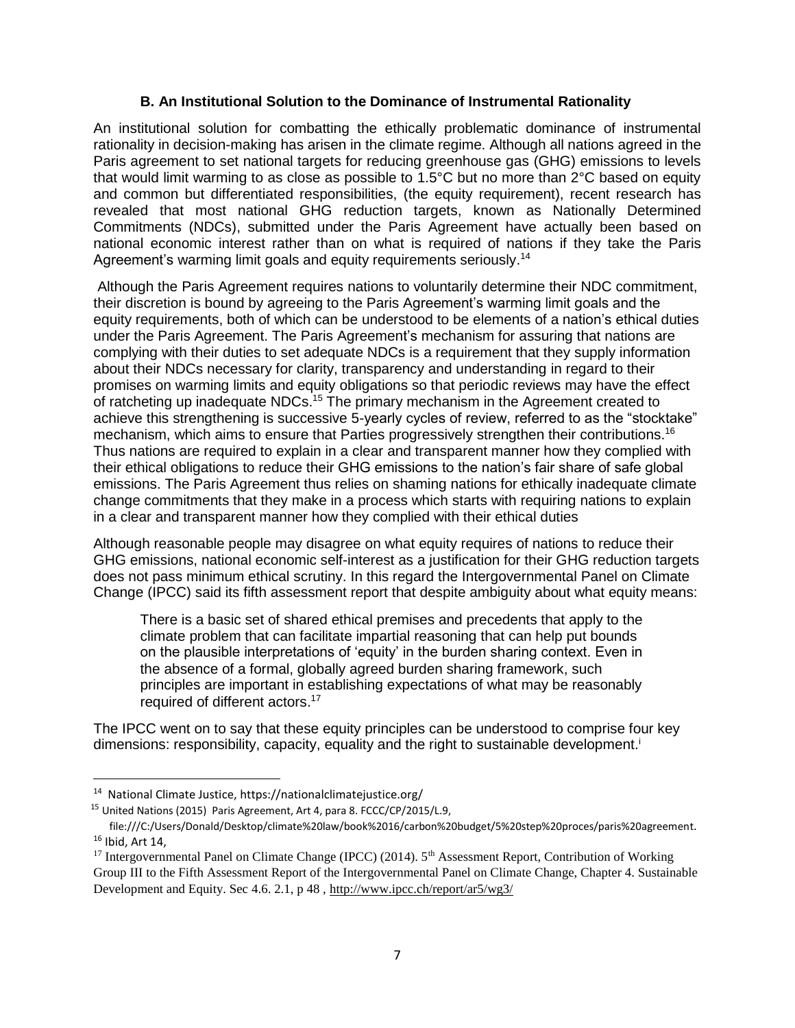#### **B. An Institutional Solution to the Dominance of Instrumental Rationality**

An institutional solution for combatting the ethically problematic dominance of instrumental rationality in decision-making has arisen in the climate regime. Although all nations agreed in the Paris agreement to set national targets for reducing greenhouse gas (GHG) emissions to levels that would limit warming to as close as possible to 1.5°C but no more than 2°C based on equity and common but differentiated responsibilities, (the equity requirement), recent research has revealed that most national GHG reduction targets, known as Nationally Determined Commitments (NDCs), submitted under the Paris Agreement have actually been based on national economic interest rather than on what is required of nations if they take the Paris Agreement's warming limit goals and equity requirements seriously.<sup>14</sup>

Although the Paris Agreement requires nations to voluntarily determine their NDC commitment, their discretion is bound by agreeing to the Paris Agreement's warming limit goals and the equity requirements, both of which can be understood to be elements of a nation's ethical duties under the Paris Agreement. The Paris Agreement's mechanism for assuring that nations are complying with their duties to set adequate NDCs is a requirement that they supply information about their NDCs necessary for clarity, transparency and understanding in regard to their promises on warming limits and equity obligations so that periodic reviews may have the effect of ratcheting up inadequate NDCs.<sup>15</sup> The primary mechanism in the Agreement created to achieve this strengthening is successive 5-yearly cycles of review, referred to as the "stocktake" mechanism, which aims to ensure that Parties progressively strengthen their contributions.<sup>16</sup> Thus nations are required to explain in a clear and transparent manner how they complied with their ethical obligations to reduce their GHG emissions to the nation's fair share of safe global emissions. The Paris Agreement thus relies on shaming nations for ethically inadequate climate change commitments that they make in a process which starts with requiring nations to explain in a clear and transparent manner how they complied with their ethical duties

Although reasonable people may disagree on what equity requires of nations to reduce their GHG emissions, national economic self-interest as a justification for their GHG reduction targets does not pass minimum ethical scrutiny. In this regard the Intergovernmental Panel on Climate Change (IPCC) said its fifth assessment report that despite ambiguity about what equity means:

There is a basic set of shared ethical premises and precedents that apply to the climate problem that can facilitate impartial reasoning that can help put bounds on the plausible interpretations of 'equity' in the burden sharing context. Even in the absence of a formal, globally agreed burden sharing framework, such principles are important in establishing expectations of what may be reasonably required of different actors.<sup>17</sup>

The IPCC went on to say that these equity principles can be understood to comprise four key dimensions: responsibility, capacity, equality and the right to sustainable development.<sup>i</sup>

l

<sup>&</sup>lt;sup>14</sup> National Climate Justice, https://nationalclimatejustice.org/

<sup>15</sup> United Nations (2015) Paris Agreement, Art 4, para 8. FCCC/CP/2015/L.9,

file:///C:/Users/Donald/Desktop/climate%20law/book%2016/carbon%20budget/5%20step%20proces/paris%20agreement. <sup>16</sup> Ibid, Art 14,

<sup>&</sup>lt;sup>17</sup> Intergovernmental Panel on Climate Change (IPCC) (2014). 5<sup>th</sup> Assessment Report, Contribution of Working Group III to the Fifth Assessment Report of the Intergovernmental Panel on Climate Change, Chapter 4. Sustainable Development and Equity. Sec 4.6. 2.1, p 48 ,<http://www.ipcc.ch/report/ar5/wg3/>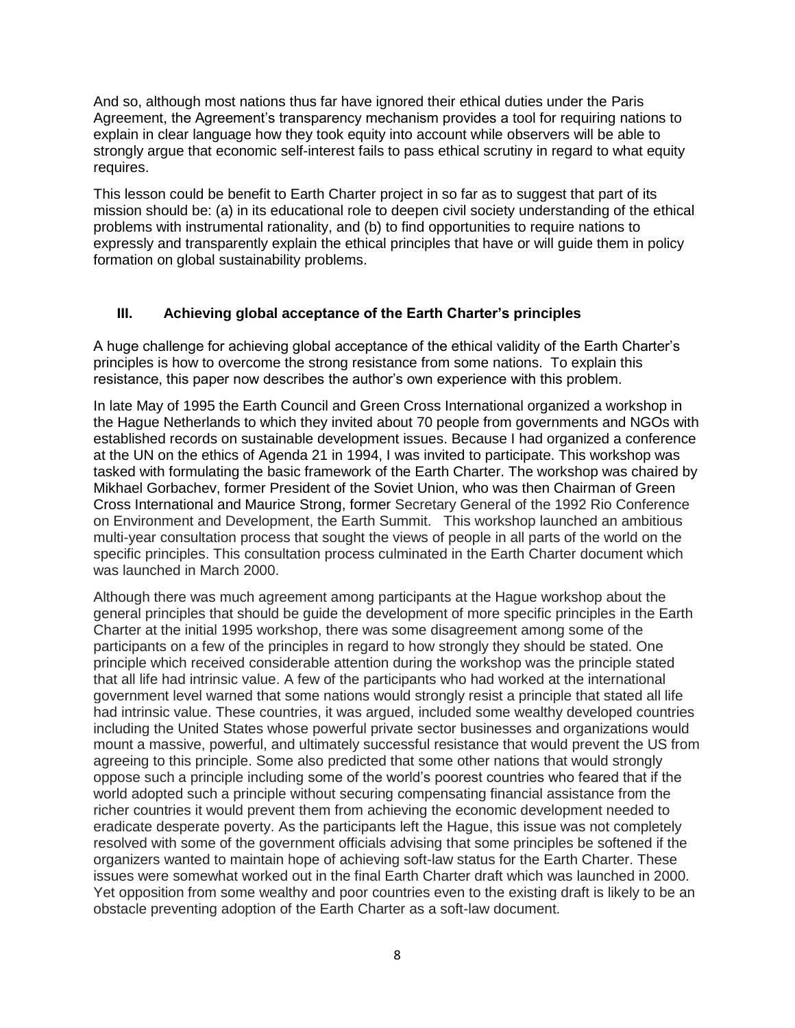And so, although most nations thus far have ignored their ethical duties under the Paris Agreement, the Agreement's transparency mechanism provides a tool for requiring nations to explain in clear language how they took equity into account while observers will be able to strongly argue that economic self-interest fails to pass ethical scrutiny in regard to what equity requires.

This lesson could be benefit to Earth Charter project in so far as to suggest that part of its mission should be: (a) in its educational role to deepen civil society understanding of the ethical problems with instrumental rationality, and (b) to find opportunities to require nations to expressly and transparently explain the ethical principles that have or will guide them in policy formation on global sustainability problems.

### **III. Achieving global acceptance of the Earth Charter's principles**

A huge challenge for achieving global acceptance of the ethical validity of the Earth Charter's principles is how to overcome the strong resistance from some nations. To explain this resistance, this paper now describes the author's own experience with this problem.

In late May of 1995 the Earth Council and Green Cross International organized a workshop in the Hague Netherlands to which they invited about 70 people from governments and NGOs with established records on sustainable development issues. Because I had organized a conference at the UN on the ethics of Agenda 21 in 1994, I was invited to participate. This workshop was tasked with formulating the basic framework of the Earth Charter. The workshop was chaired by Mikhael Gorbachev, former President of the Soviet Union, who was then Chairman of Green Cross International and Maurice Strong, former Secretary General of the 1992 Rio Conference on Environment and Development, the Earth Summit. This workshop launched an ambitious multi-year consultation process that sought the views of people in all parts of the world on the specific principles. This consultation process culminated in the Earth Charter document which was launched in March 2000.

Although there was much agreement among participants at the Hague workshop about the general principles that should be guide the development of more specific principles in the Earth Charter at the initial 1995 workshop, there was some disagreement among some of the participants on a few of the principles in regard to how strongly they should be stated. One principle which received considerable attention during the workshop was the principle stated that all life had intrinsic value. A few of the participants who had worked at the international government level warned that some nations would strongly resist a principle that stated all life had intrinsic value. These countries, it was argued, included some wealthy developed countries including the United States whose powerful private sector businesses and organizations would mount a massive, powerful, and ultimately successful resistance that would prevent the US from agreeing to this principle. Some also predicted that some other nations that would strongly oppose such a principle including some of the world's poorest countries who feared that if the world adopted such a principle without securing compensating financial assistance from the richer countries it would prevent them from achieving the economic development needed to eradicate desperate poverty. As the participants left the Hague, this issue was not completely resolved with some of the government officials advising that some principles be softened if the organizers wanted to maintain hope of achieving soft-law status for the Earth Charter. These issues were somewhat worked out in the final Earth Charter draft which was launched in 2000. Yet opposition from some wealthy and poor countries even to the existing draft is likely to be an obstacle preventing adoption of the Earth Charter as a soft-law document.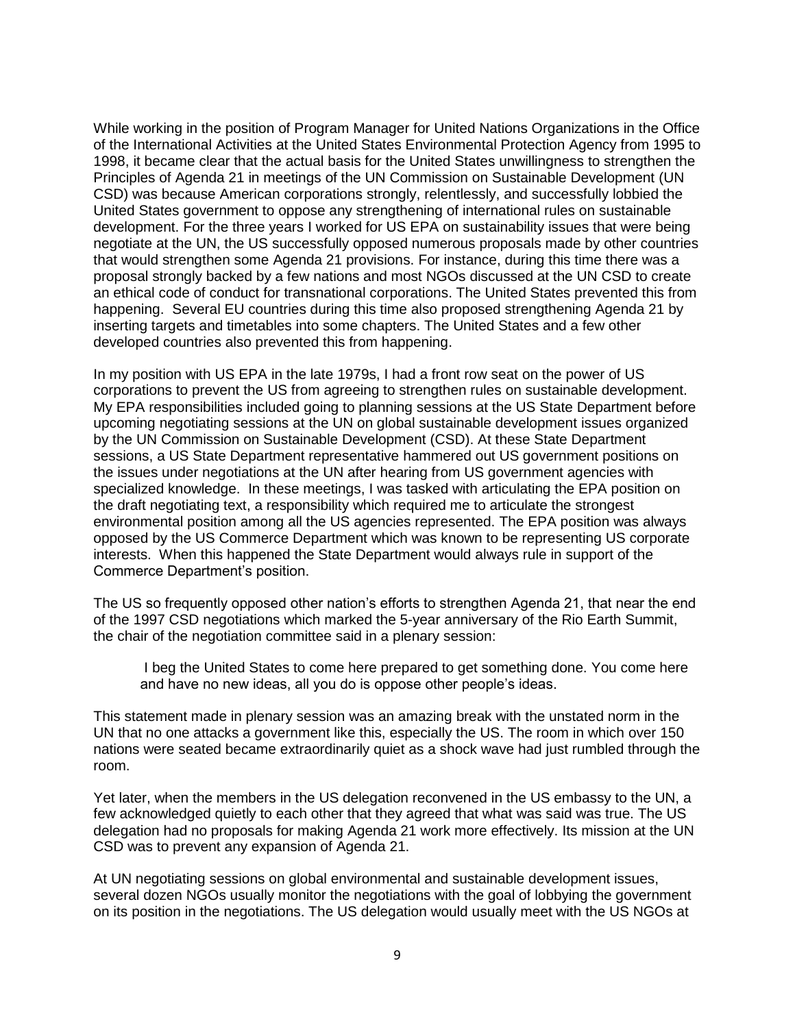While working in the position of Program Manager for United Nations Organizations in the Office of the International Activities at the United States Environmental Protection Agency from 1995 to 1998, it became clear that the actual basis for the United States unwillingness to strengthen the Principles of Agenda 21 in meetings of the UN Commission on Sustainable Development (UN CSD) was because American corporations strongly, relentlessly, and successfully lobbied the United States government to oppose any strengthening of international rules on sustainable development. For the three years I worked for US EPA on sustainability issues that were being negotiate at the UN, the US successfully opposed numerous proposals made by other countries that would strengthen some Agenda 21 provisions. For instance, during this time there was a proposal strongly backed by a few nations and most NGOs discussed at the UN CSD to create an ethical code of conduct for transnational corporations. The United States prevented this from happening. Several EU countries during this time also proposed strengthening Agenda 21 by inserting targets and timetables into some chapters. The United States and a few other developed countries also prevented this from happening.

In my position with US EPA in the late 1979s, I had a front row seat on the power of US corporations to prevent the US from agreeing to strengthen rules on sustainable development. My EPA responsibilities included going to planning sessions at the US State Department before upcoming negotiating sessions at the UN on global sustainable development issues organized by the UN Commission on Sustainable Development (CSD). At these State Department sessions, a US State Department representative hammered out US government positions on the issues under negotiations at the UN after hearing from US government agencies with specialized knowledge. In these meetings, I was tasked with articulating the EPA position on the draft negotiating text, a responsibility which required me to articulate the strongest environmental position among all the US agencies represented. The EPA position was always opposed by the US Commerce Department which was known to be representing US corporate interests. When this happened the State Department would always rule in support of the Commerce Department's position.

The US so frequently opposed other nation's efforts to strengthen Agenda 21, that near the end of the 1997 CSD negotiations which marked the 5-year anniversary of the Rio Earth Summit, the chair of the negotiation committee said in a plenary session:

I beg the United States to come here prepared to get something done. You come here and have no new ideas, all you do is oppose other people's ideas.

This statement made in plenary session was an amazing break with the unstated norm in the UN that no one attacks a government like this, especially the US. The room in which over 150 nations were seated became extraordinarily quiet as a shock wave had just rumbled through the room.

Yet later, when the members in the US delegation reconvened in the US embassy to the UN, a few acknowledged quietly to each other that they agreed that what was said was true. The US delegation had no proposals for making Agenda 21 work more effectively. Its mission at the UN CSD was to prevent any expansion of Agenda 21.

At UN negotiating sessions on global environmental and sustainable development issues, several dozen NGOs usually monitor the negotiations with the goal of lobbying the government on its position in the negotiations. The US delegation would usually meet with the US NGOs at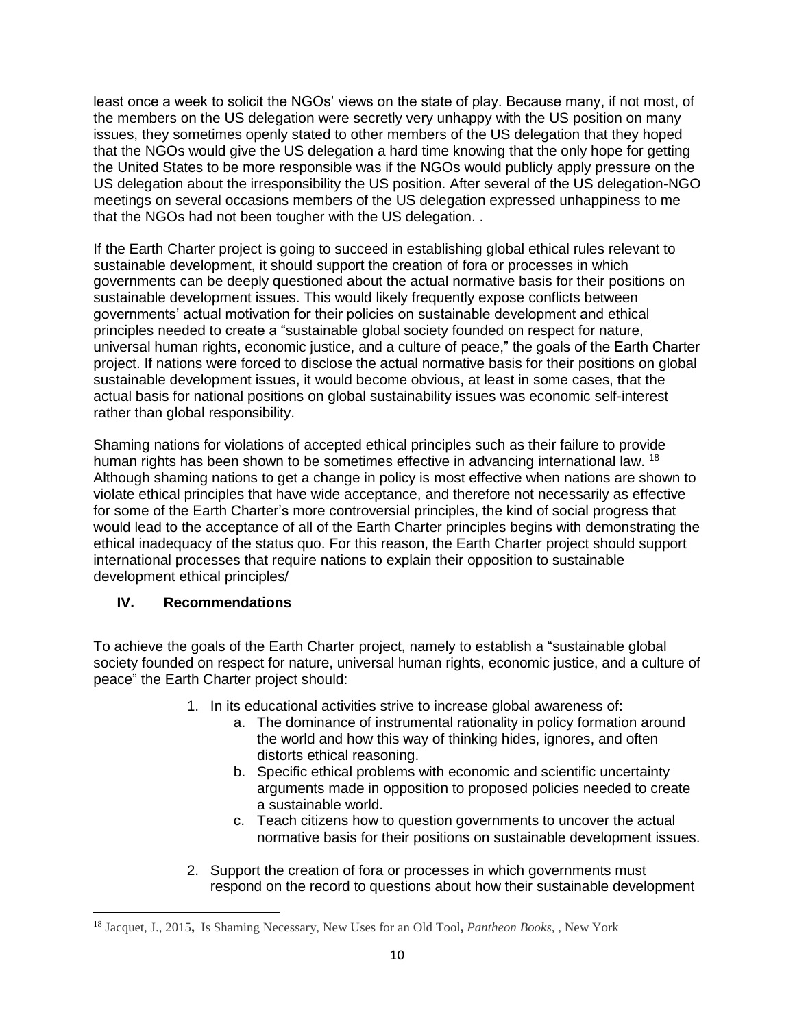least once a week to solicit the NGOs' views on the state of play. Because many, if not most, of the members on the US delegation were secretly very unhappy with the US position on many issues, they sometimes openly stated to other members of the US delegation that they hoped that the NGOs would give the US delegation a hard time knowing that the only hope for getting the United States to be more responsible was if the NGOs would publicly apply pressure on the US delegation about the irresponsibility the US position. After several of the US delegation-NGO meetings on several occasions members of the US delegation expressed unhappiness to me that the NGOs had not been tougher with the US delegation. .

If the Earth Charter project is going to succeed in establishing global ethical rules relevant to sustainable development, it should support the creation of fora or processes in which governments can be deeply questioned about the actual normative basis for their positions on sustainable development issues. This would likely frequently expose conflicts between governments' actual motivation for their policies on sustainable development and ethical principles needed to create a "sustainable global society founded on respect for nature, universal human rights, economic justice, and a culture of peace," the goals of the Earth Charter project. If nations were forced to disclose the actual normative basis for their positions on global sustainable development issues, it would become obvious, at least in some cases, that the actual basis for national positions on global sustainability issues was economic self-interest rather than global responsibility.

Shaming nations for violations of accepted ethical principles such as their failure to provide human rights has been shown to be sometimes effective in advancing international law. <sup>18</sup> Although shaming nations to get a change in policy is most effective when nations are shown to violate ethical principles that have wide acceptance, and therefore not necessarily as effective for some of the Earth Charter's more controversial principles, the kind of social progress that would lead to the acceptance of all of the Earth Charter principles begins with demonstrating the ethical inadequacy of the status quo. For this reason, the Earth Charter project should support international processes that require nations to explain their opposition to sustainable development ethical principles/

## **IV. Recommendations**

 $\overline{\phantom{a}}$ 

To achieve the goals of the Earth Charter project, namely to establish a "sustainable global society founded on respect for nature, universal human rights, economic justice, and a culture of peace" the Earth Charter project should:

- 1. In its educational activities strive to increase global awareness of:
	- a. The dominance of instrumental rationality in policy formation around the world and how this way of thinking hides, ignores, and often distorts ethical reasoning.
	- b. Specific ethical problems with economic and scientific uncertainty arguments made in opposition to proposed policies needed to create a sustainable world.
	- c. Teach citizens how to question governments to uncover the actual normative basis for their positions on sustainable development issues.
- 2. Support the creation of fora or processes in which governments must respond on the record to questions about how their sustainable development

<sup>18</sup> Jacquet, J., 2015**,** Is Shaming Necessary, New Uses for an Old Tool**,** *Pantheon Books,* , New York